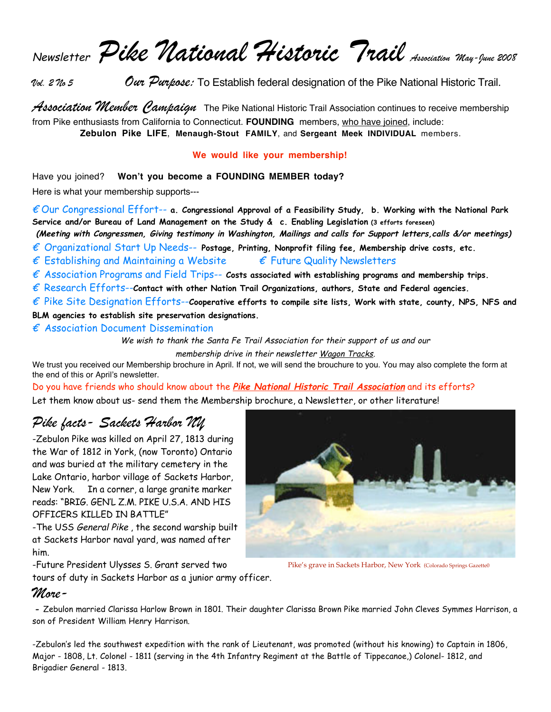Newsletter *Pike National Historic Trail Association May-June 2008*

*Vol. 2 No 5 Our Purpose:* To Establish federal designation of the Pike National Historic Trail.

*Association Member Campaign* The Pike National Historic Trail Association continues to receive membership from Pike enthusiasts from California to Connecticut. **FOUNDING** members, who have joined, include: **Zebulon Pike LIFE**, **Menaugh-Stout FAMILY**, and **Sergeant Meek INDIVIDUAL** members.

#### **We would like your membership!**

Have you joined? **Won't you become a FOUNDING MEMBER today?** 

Here is what your membership supports---

€ Our Congressional Effort-- **a. Congressional Approval of a Feasibility Study, b. Working with the National Park Service and/or Bureau of Land Management on the Study & c. Enabling Legislation (3 efforts foreseen)**

**(Meeting with Congressmen, Giving testimony in Washington, Mailings and calls for Support letters,calls &/or meetings)**

€ Organizational Start Up Needs-- **Postage, Printing, Nonprofit filing fee, Membership drive costs, etc.**

 $\epsilon$  Establishing and Maintaining a Website  $\epsilon$  Future Quality Newsletters

 $\epsilon$  Association Programs and Field Trips--  $\epsilon$ osts associated with establishing programs and membership trips.

€ Research Efforts--**Contact with other Nation Trail Organizations, authors, State and Federal agencies.**

€ Pike Site Designation Efforts--**Cooperative efforts to compile site lists, Work with state, county, NPS, NFS and** 

**BLM agencies to establish site preservation designations.**

 $\epsilon$  Association Document Dissemination

We wish to thank the Santa Fe Trail Association for their support of us and our

membership drive in their newsletter Wagon Tracks.

We trust you received our Membership brochure in April. If not, we will send the brouchure to you. You may also complete the form at the end of this or April's newsletter.

Do you have friends who should know about the **Pike National Historic Trail Association** and its efforts? Let them know about us- send them the Membership brochure, a Newsletter, or other literature!

## *Pike facts- Sackets Harbor NY*

-Zebulon Pike was killed on April 27, 1813 during the War of 1812 in York, (now Toronto) Ontario and was buried at the military cemetery in the Lake Ontario, harbor village of Sackets Harbor, New York. In a corner, a large granite marker reads: "BRIG. GEN'L Z.M. PIKE U.S.A. AND HIS OFFICERS KILLED IN BATTLE"

-The USS General Pike, the second warship built at Sackets Harbor naval yard, was named after him.

-Future President Ulysses S. Grant served two

tours of duty in Sackets Harbor as a junior army officer.



Pike's grave in Sackets Harbor, New York (Colorado Springs Gazette0

## *More-*

**-** Zebulon married Clarissa Harlow Brown in 1801. Their daughter Clarissa Brown Pike married John Cleves Symmes Harrison, a son of President William Henry Harrison.

-Zebulon's led the southwest expedition with the rank of Lieutenant, was promoted (without his knowing) to Captain in 1806, Major - 1808, Lt. Colonel - 1811 (serving in the 4th Infantry Regiment at the Battle of Tippecanoe,) Colonel- 1812, and Brigadier General - 1813.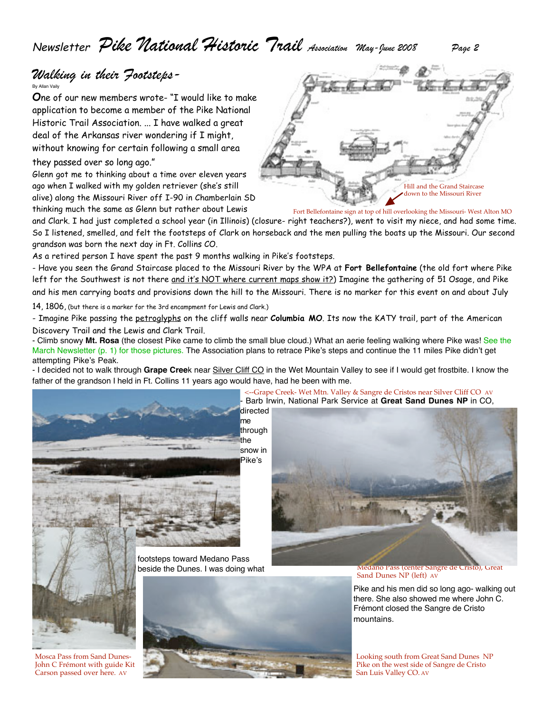Newsletter *Pike National Historic Trail Association May-June 2008 Page 2*

### *Walking in their Footsteps-*By Allan Vaily

**O**ne of our new members wrote- "I would like to make application to become a member of the Pike National Historic Trail Association. ... I have walked a great deal of the Arkansas river wondering if I might, without knowing for certain following a small area they passed over so long ago."

Glenn got me to thinking about a time over eleven years ago when I walked with my golden retriever (she's still alive) along the Missouri River off I-90 in Chamberlain SD thinking much the same as Glenn but rather about Lewis

Hill and the Grand Staircase down to the Missouri River

Fort Bellefontaine sign at top of hill overlooking the Missouri- West Alton MO

and Clark. I had just completed a school year (in Illinois) (closure- right teachers?), went to visit my niece, and had some time. So I listened, smelled, and felt the footsteps of Clark on horseback and the men pulling the boats up the Missouri. Our second grandson was born the next day in Ft. Collins CO.

As a retired person I have spent the past 9 months walking in Pike's footsteps.

- Have you seen the Grand Staircase placed to the Missouri River by the WPA at **Fort Bellefontaine** (the old fort where Pike left for the Southwest is not there and it's NOT where current maps show it?) Imagine the gathering of 51 Osage, and Pike and his men carrying boats and provisions down the hill to the Missouri. There is no marker for this event on and about July

14, 1806, (but there is a marker for the 3rd encampment for Lewis and Clark.)

- Imagine Pike passing the petroglyphs on the cliff walls near **Columbia MO**. Its now the KATY trail, part of the American Discovery Trail and the Lewis and Clark Trail.

- Climb snowy **Mt. Rosa** (the closest Pike came to climb the small blue cloud.) What an aerie feeling walking where Pike was! See the March Newsletter (p. 1) for those pictures. The Association plans to retrace Pike's steps and continue the 11 miles Pike didn't get attempting Pike's Peak.

- I decided not to walk through **Grape Cree**k near Silver Cliff CO in the Wet Mountain Valley to see if I would get frostbite. I know the father of the grandson I held in Ft. Collins 11 years ago would have, had he been with me.



Mosca Pass from Sand Dunes-John C Frémont with guide Kit Carson passed over here. AV



- Barb Irwin, National Park Service at **Great Sand Dunes NP** in CO,

<--Grape Creek- Wet Mtn. Valley & Sangre de Cristos near Silver Cliff CO AV



Sand Dunes NP (left) AV

Pike and his men did so long ago- walking out there. She also showed me where John C. Frémont closed the Sangre de Cristo mountains.

Looking south from Great Sand Dunes NP Pike on the west side of Sangre de Cristo San Luis Valley CO. AV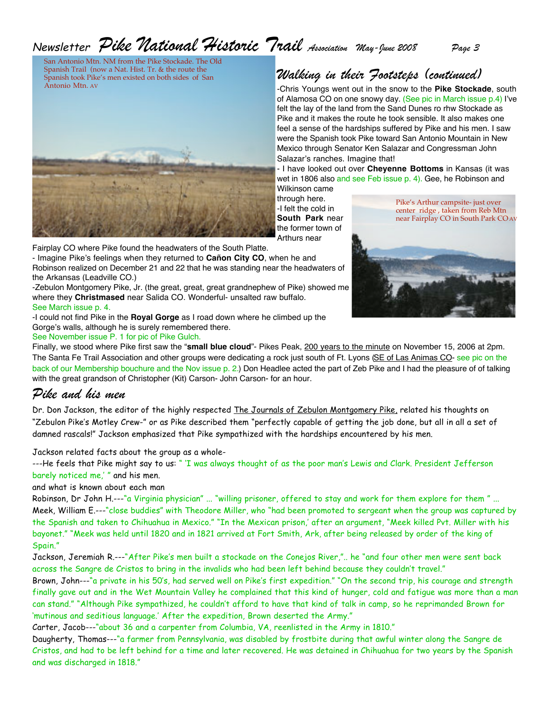# Newsletter *Pike National Historic Trail Association May-June 2008 Page 3*

San Antonio Mtn. NM from the Pike Stockade. The Old Spanish Trail (now a Nat. Hist. Tr. & the route the Spanish took Pike's men existed on both sides of San Antonio Mtn. AV



Fairplay CO where Pike found the headwaters of the South Platte.

- Imagine Pike's feelings when they returned to **Cañon City CO**, when he and Robinson realized on December 21 and 22 that he was standing near the headwaters of the Arkansas (Leadville CO.)

-Zebulon Montgomery Pike, Jr. (the great, great, great grandnephew of Pike) showed me where they **Christmased** near Salida CO. Wonderful- unsalted raw buffalo. See March issue p. 4.

-I could not find Pike in the **Royal Gorge** as I road down where he climbed up the Gorge's walls, although he is surely remembered there.

See November issue P. 1 for pic of Pike Gulch.

*Walking in their Footsteps (continued)*

-Chris Youngs went out in the snow to the **Pike Stockade**, south of Alamosa CO on one snowy day. (See pic in March issue p.4) I've felt the lay of the land from the Sand Dunes ro rhw Stockade as Pike and it makes the route he took sensible. It also makes one feel a sense of the hardships suffered by Pike and his men. I saw were the Spanish took Pike toward San Antonio Mountain in New Mexico through Senator Ken Salazar and Congressman John Salazar's ranches. Imagine that!

- I have looked out over **Cheyenne Bottoms** in Kansas (it was wet in 1806 also and see Feb issue p. 4). Gee, he Robinson and Wilkinson came

through here. -I felt the cold in **South Park** near the former town of Arthurs near





Finally, we stood where Pike first saw the "**small blue cloud**"- Pikes Peak, 200 years to the minute on November 15, 2006 at 2pm. The Santa Fe Trail Association and other groups were dedicating a rock just south of Ft. Lyons (SE of Las Animas CO- see pic on the back of our Membership bouchure and the Nov issue p. 2.) Don Headlee acted the part of Zeb Pike and I had the pleasure of of talking with the great grandson of Christopher (Kit) Carson- John Carson- for an hour.

## *Pike and his men*

Dr. Don Jackson, the editor of the highly respected The Journals of Zebulon Montgomery Pike, related his thoughts on "Zebulon Pike's Motley Crew-" or as Pike described them "perfectly capable of getting the job done, but all in all a set of damned rascals!" Jackson emphasized that Pike sympathized with the hardships encountered by his men.

Jackson related facts about the group as a whole-

---He feels that Pike might say to us: " 'I was always thought of as the poor man's Lewis and Clark. President Jefferson barely noticed me,' " and his men.

and what is known about each man

Robinson, Dr John H.---"a Virginia physician" ... "willing prisoner, offered to stay and work for them explore for them " ... Meek, William E.---"close buddies" with Theodore Miller, who "had been promoted to sergeant when the group was captured by the Spanish and taken to Chihuahua in Mexico." "In the Mexican prison,' after an argument, "Meek killed Pvt. Miller with his bayonet." "Meek was held until 1820 and in 1821 arrived at Fort Smith, Ark, after being released by order of the king of Spain."

Jackson, Jeremiah R.---"After Pike's men built a stockade on the Conejos River,".. he "and four other men were sent back across the Sangre de Cristos to bring in the invalids who had been left behind because they couldn't travel."

Brown, John---"a private in his 50's, had served well on Pike's first expedition." "On the second trip, his courage and strength finally gave out and in the Wet Mountain Valley he complained that this kind of hunger, cold and fatigue was more than a man can stand." "Although Pike sympathized, he couldn't afford to have that kind of talk in camp, so he reprimanded Brown for 'mutinous and seditious language.' After the expedition, Brown deserted the Army."

Carter, Jacob---"about 36 and a carpenter from Columbia, VA, reenlisted in the Army in 1810."

Daugherty, Thomas---"a farmer from Pennsylvania, was disabled by frostbite during that awful winter along the Sangre de Cristos, and had to be left behind for a time and later recovered. He was detained in Chihuahua for two years by the Spanish and was discharged in 1818."